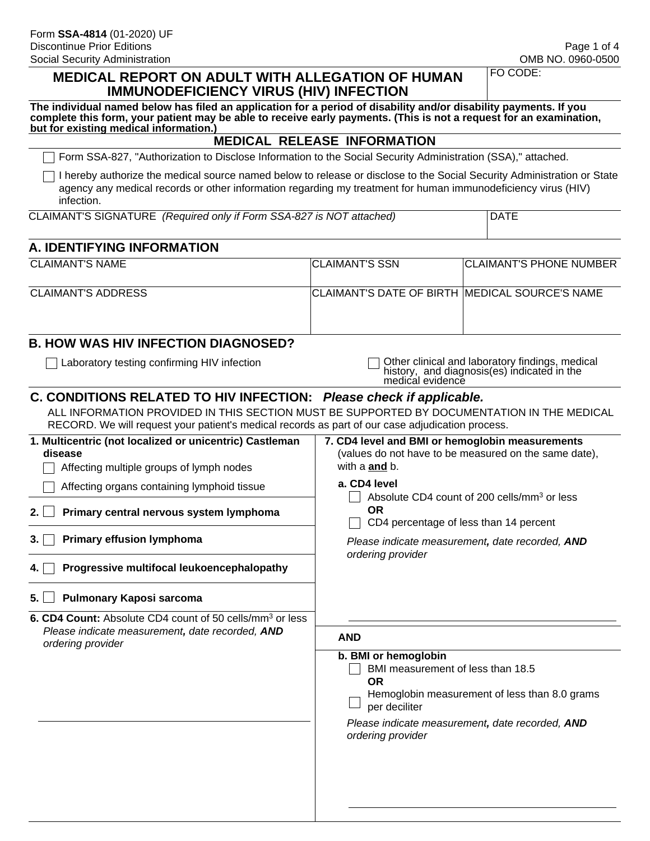#### **MEDICAL REPORT ON ADULT WITH ALLEGATION OF HUMAN IMMUNODEFICIENCY VIRUS (HIV) INFECTION**

FO CODE:

| The individual named below has filed an application for a period of disability and/or disability payments. If you  |
|--------------------------------------------------------------------------------------------------------------------|
| complete this form, your patient may be able to receive early payments. (This is not a request for an examination, |
| but for existing medical information.)                                                                             |

#### **MEDICAL RELEASE INFORMATION**

Form SSA-827, "Authorization to Disclose Information to the Social Security Administration (SSA)," attached.

I hereby authorize the medical source named below to release or disclose to the Social Security Administration or State agency any medical records or other information regarding my treatment for human immunodeficiency virus (HIV) infection.

| CLAIMANT'S SIGNATURE (Required only if Form SSA-827 is NOT attached) |
|----------------------------------------------------------------------|
|----------------------------------------------------------------------|

#### **A. IDENTIFYING INFORMATION**

| <b>CLAIMANT'S NAME</b> | <b>ICLAIMANT'S SSN</b>                                  | <b>CLAIMANT'S PHONE NUMBER</b> |
|------------------------|---------------------------------------------------------|--------------------------------|
| CLAIMANT'S ADDRESS     | <b>ICLAIMANT'S DATE OF BIRTH IMEDICAL SOURCE'S NAME</b> |                                |
|                        |                                                         |                                |

#### **B. HOW WAS HIV INFECTION DIAGNOSED?**

□ Laboratory testing confirming HIV infection **Other clinical and laboratory findings**, medical history, and diagnosis(es) indicated in the medical evidence

#### **C. CONDITIONS RELATED TO HIV INFECTION:** *Please check if applicable.*

ALL INFORMATION PROVIDED IN THIS SECTION MUST BE SUPPORTED BY DOCUMENTATION IN THE MEDICAL RECORD. We will request your patient's medical records as part of our case adjudication process.

| 1. Multicentric (not localized or unicentric) Castleman<br>disease<br>Affecting multiple groups of lymph nodes | 7. CD4 level and BMI or hemoglobin measurements<br>(values do not have to be measured on the same date),<br>with a <b>and</b> b.                                                                                 |  |  |  |
|----------------------------------------------------------------------------------------------------------------|------------------------------------------------------------------------------------------------------------------------------------------------------------------------------------------------------------------|--|--|--|
| Affecting organs containing lymphoid tissue                                                                    | a. CD4 level                                                                                                                                                                                                     |  |  |  |
| Primary central nervous system lymphoma<br>2.1                                                                 | Absolute CD4 count of 200 cells/mm <sup>3</sup> or less<br><b>OR</b><br>CD4 percentage of less than 14 percent                                                                                                   |  |  |  |
| <b>Primary effusion lymphoma</b><br>3. I                                                                       | Please indicate measurement, date recorded, AND<br>ordering provider                                                                                                                                             |  |  |  |
| Progressive multifocal leukoencephalopathy<br>4. I                                                             |                                                                                                                                                                                                                  |  |  |  |
| Pulmonary Kaposi sarcoma<br>5.                                                                                 |                                                                                                                                                                                                                  |  |  |  |
| 6. CD4 Count: Absolute CD4 count of 50 cells/mm <sup>3</sup> or less                                           |                                                                                                                                                                                                                  |  |  |  |
| Please indicate measurement, date recorded, AND<br>ordering provider                                           | <b>AND</b>                                                                                                                                                                                                       |  |  |  |
|                                                                                                                | b. BMI or hemoglobin<br>BMI measurement of less than 18.5<br><b>OR</b><br>Hemoglobin measurement of less than 8.0 grams<br>per deciliter<br>Please indicate measurement, date recorded, AND<br>ordering provider |  |  |  |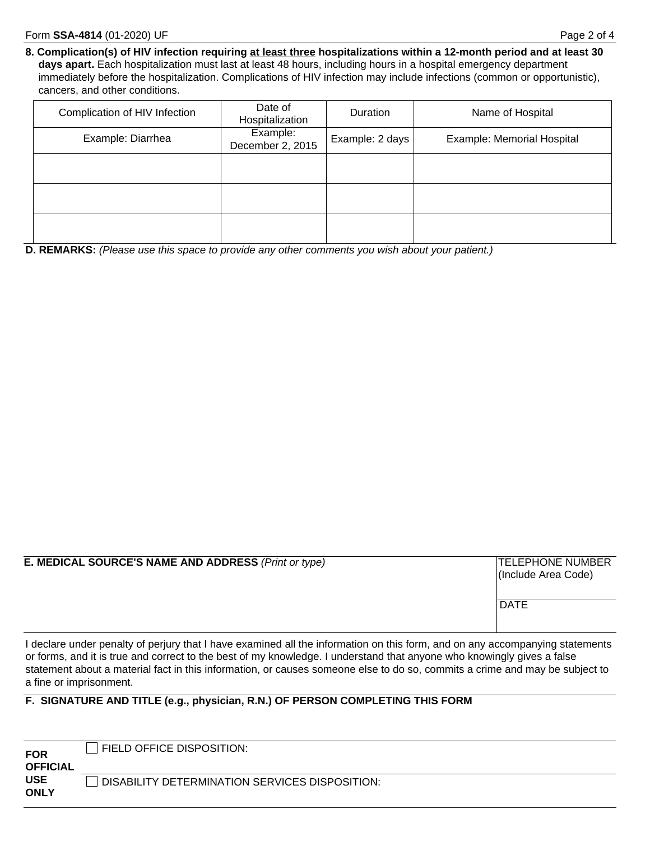**8. Complication(s) of HIV infection requiring at least three hospitalizations within a 12-month period and at least 30 days apart.** Each hospitalization must last at least 48 hours, including hours in a hospital emergency department immediately before the hospitalization. Complications of HIV infection may include infections (common or opportunistic), cancers, and other conditions.

| Complication of HIV Infection | Date of<br>Hospitalization   | <b>Duration</b> | Name of Hospital           |
|-------------------------------|------------------------------|-----------------|----------------------------|
| Example: Diarrhea             | Example:<br>December 2, 2015 | Example: 2 days | Example: Memorial Hospital |
|                               |                              |                 |                            |
|                               |                              |                 |                            |
|                               |                              |                 |                            |

**D. REMARKS:** *(Please use this space to provide any other comments you wish about your patient.)*

**E. MEDICAL SOURCE'S NAME AND ADDRESS** *(Print or type)* **TELEPHONE NUMBER** 

(Include Area Code)

**DATE** 

I declare under penalty of perjury that I have examined all the information on this form, and on any accompanying statements or forms, and it is true and correct to the best of my knowledge. I understand that anyone who knowingly gives a false statement about a material fact in this information, or causes someone else to do so, commits a crime and may be subject to a fine or imprisonment.

#### **F. SIGNATURE AND TITLE (e.g., physician, R.N.) OF PERSON COMPLETING THIS FORM**

| <b>FOR</b>                    | FIELD OFFICE DISPOSITION:                      |
|-------------------------------|------------------------------------------------|
| <b>OFFICIAL</b><br><b>USE</b> | DISABILITY DETERMINATION SERVICES DISPOSITION: |
| <b>ONLY</b>                   |                                                |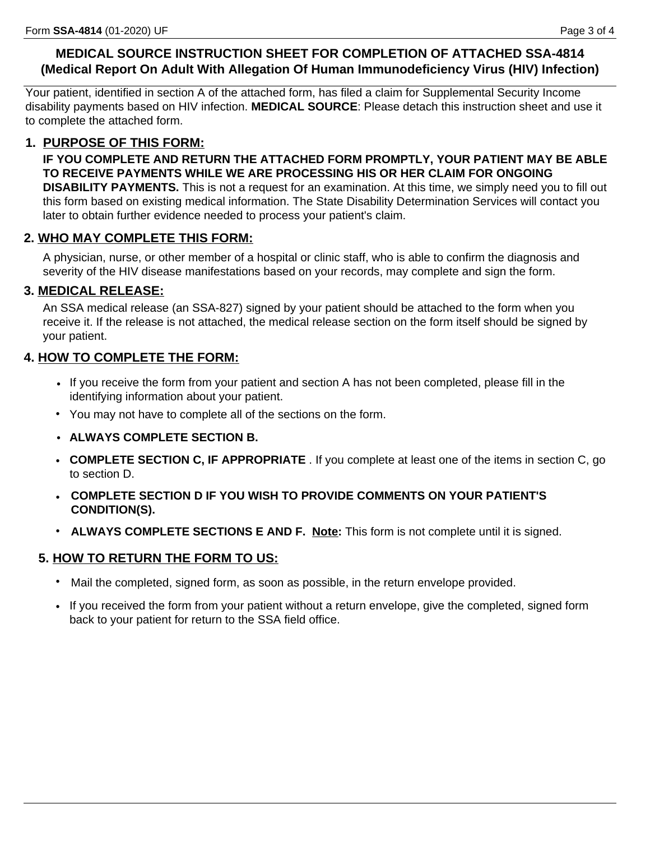# **MEDICAL SOURCE INSTRUCTION SHEET FOR COMPLETION OF ATTACHED SSA-4814 (Medical Report On Adult With Allegation Of Human Immunodeficiency Virus (HIV) Infection)**

Your patient, identified in section A of the attached form, has filed a claim for Supplemental Security Income disability payments based on HIV infection. **MEDICAL SOURCE**: Please detach this instruction sheet and use it to complete the attached form.

# **1. PURPOSE OF THIS FORM:**

**IF YOU COMPLETE AND RETURN THE ATTACHED FORM PROMPTLY, YOUR PATIENT MAY BE ABLE TO RECEIVE PAYMENTS WHILE WE ARE PROCESSING HIS OR HER CLAIM FOR ONGOING DISABILITY PAYMENTS.** This is not a request for an examination. At this time, we simply need you to fill out

this form based on existing medical information. The State Disability Determination Services will contact you later to obtain further evidence needed to process your patient's claim.

# **2. WHO MAY COMPLETE THIS FORM:**

A physician, nurse, or other member of a hospital or clinic staff, who is able to confirm the diagnosis and severity of the HIV disease manifestations based on your records, may complete and sign the form.

### **3. MEDICAL RELEASE:**

An SSA medical release (an SSA-827) signed by your patient should be attached to the form when you receive it. If the release is not attached, the medical release section on the form itself should be signed by your patient.

# **4. HOW TO COMPLETE THE FORM:**

- If you receive the form from your patient and section A has not been completed, please fill in the identifying information about your patient.
- You may not have to complete all of the sections on the form.
- **ALWAYS COMPLETE SECTION B.**
- **COMPLETE SECTION C, IF APPROPRIATE** . If you complete at least one of the items in section C, go to section D.
- **COMPLETE SECTION D IF YOU WISH TO PROVIDE COMMENTS ON YOUR PATIENT'S CONDITION(S).**
- **ALWAYS COMPLETE SECTIONS E AND F. Note:** This form is not complete until it is signed.

# **5. HOW TO RETURN THE FORM TO US:**

- Mail the completed, signed form, as soon as possible, in the return envelope provided.
- If you received the form from your patient without a return envelope, give the completed, signed form back to your patient for return to the SSA field office.